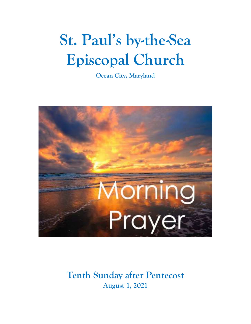# **St. Paul's by-the-Sea Episcopal Church**

**Ocean City, Maryland**



## **Tenth Sunday after Pentecost August 1, 2021**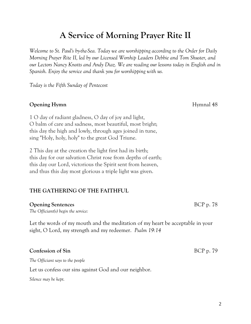# **A Service of Morning Prayer Rite II**

*Welcome to St. Paul's by-the-Sea. Today we are worshipping according to the Order for Daily Morning Prayer Rite II, led by our Licensed Worship Leaders Debbie and Tom Shuster, and our Lectors Nancy Knotts and Andy Diaz. We are reading our lessons today in English and in Spanish. Enjoy the service and thank you for worshipping with us.*

*Today is the Fifth Sunday of Pentecost*

### **Opening Hymn** Hymnal 48

1 O day of radiant gladness, O day of joy and light, O balm of care and sadness, most beautiful, most bright; this day the high and lowly, through ages joined in tune, sing "Holy, holy, holy" to the great God Triune.

2 This day at the creation the light first had its birth; this day for our salvation Christ rose from depths of earth; this day our Lord, victorious the Spirit sent from heaven, and thus this day most glorious a triple light was given.

### **THE GATHERING OF THE FAITHFUL**

### **Opening Sentences** BCP p. 78

*The Officiant(s) begin the service:*

Let the words of my mouth and the meditation of my heart be acceptable in your sight, O Lord, my strength and my redeemer. *Psalm 19:14*

### **Confession of Sin** BCP p. 79

*The Officiant says to the people*

Let us confess our sins against God and our neighbor.

*Silence may be kept.*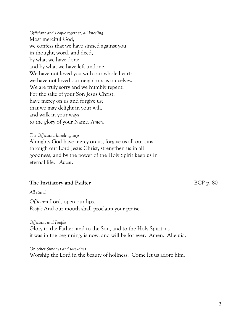*Officiant and People together, all kneeling* Most merciful God, we confess that we have sinned against you in thought, word, and deed, by what we have done, and by what we have left undone. We have not loved you with our whole heart; we have not loved our neighbors as ourselves. We are truly sorry and we humbly repent. For the sake of your Son Jesus Christ, have mercy on us and forgive us; that we may delight in your will, and walk in your ways, to the glory of your Name. *Amen*.

*The Officiant, kneeling, says* Almighty God have mercy on us, forgive us all our sins through our Lord Jesus Christ, strengthen us in all goodness, and by the power of the Holy Spirit keep us in eternal life. *Amen***.**

### **The Invitatory and Psalter** BCP p. 80

*All stand*

*Officiant* Lord, open our lips. *People* And our mouth shall proclaim your praise.

*Officiant and People* Glory to the Father, and to the Son, and to the Holy Spirit: as it was in the beginning, is now, and will be for ever. Amen. Alleluia.

*On other Sundays and weekdays* Worship the Lord in the beauty of holiness: Come let us adore him.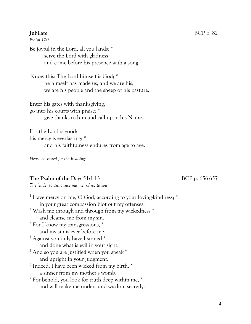*Psalm 100*

Be joyful in the Lord, all you lands; \* serve the Lord with gladness and come before his presence with a song.

Know this: The Lord himself is God; \* he himself has made us, and we are his; we are his people and the sheep of his pasture.

Enter his gates with thanksgiving; go into his courts with praise; \* give thanks to him and call upon his Name.

For the Lord is good; his mercy is everlasting; \* and his faithfulness endures from age to age.

*Please be seated for the Readings*

### **The Psalm of the Day:** 51:1-13 BCP p. 656-657

*The leader to announce manner of recitation*

| <sup>1</sup> Have mercy on me, O God, according to your loving-kindness; * |
|----------------------------------------------------------------------------|
| in your great compassion blot out my offenses.                             |
| <sup>2</sup> Wash me through and through from my wickedness *              |
| and cleanse me from my sin.                                                |
| $3$ For I know my transgressions, $*$                                      |
| and my sin is ever before me.                                              |
| <sup>4</sup> Against you only have I sinned *                              |
| and done what is evil in your sight.                                       |
| <sup>5</sup> And so you are justified when you speak *                     |
| and upright in your judgment.                                              |
| <sup>6</sup> Indeed, I have been wicked from my birth, *                   |
| a sinner from my mother's womb.                                            |
| <sup>7</sup> For behold, you look for truth deep within me, $*$            |
| and will make me understand wisdom secretly.                               |
|                                                                            |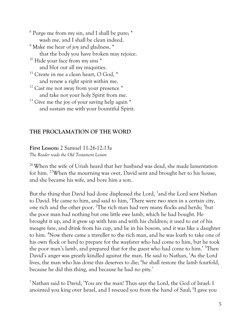<sup>8</sup> Purge me from my sin, and I shall be pure; \* wash me, and I shall be clean indeed. <sup>9</sup> Make me hear of joy and gladness,  $*$ that the body you have broken may rejoice.  $10$  Hide your face from my sins  $*$ and blot out all my iniquities. <sup>11</sup> Create in me a clean heart, O God,  $*$ and renew a right spirit within me.  $12$  Cast me not away from your presence  $*$ and take not your holy Spirit from me.  $13$  Give me the joy of your saving help again  $*$ and sustain me with your bountiful Spirit.

### **THE PROCLAMATION OF THE WORD**

**First Lesson:** 2 Samuel 11:26-12:13a

*The Reader reads the Old Testament Lesson* 

<sup>26</sup> When the wife of Uriah heard that her husband was dead, she made lamentation for him. <sup>27</sup>When the mourning was over, David sent and brought her to his house, and she became his wife, and bore him a son.

But the thing that David had done displeased the Lord, <sup>1</sup>and the Lord sent Nathan to David. He came to him, and said to him, 'There were two men in a certain city, one rich and the other poor. <sup>2</sup>The rich man had very many flocks and herds; <sup>3</sup>but the poor man had nothing but one little ewe lamb, which he had bought. He brought it up, and it grew up with him and with his children; it used to eat of his meagre fare, and drink from his cup, and lie in his bosom, and it was like a daughter to him. <sup>4</sup>Now there came a traveller to the rich man, and he was loath to take one of his own flock or herd to prepare for the wayfarer who had come to him, but he took the poor man's lamb, and prepared that for the guest who had come to him.' <sup>5</sup>Then David's anger was greatly kindled against the man. He said to Nathan, 'As the Lord lives, the man who has done this deserves to die; <sup>6</sup>he shall restore the lamb fourfold, because he did this thing, and because he had no pity.'

<sup>7</sup> Nathan said to David, 'You are the man! Thus says the Lord, the God of Israel: I anointed you king over Israel, and I rescued you from the hand of Saul; <sup>8</sup>I gave you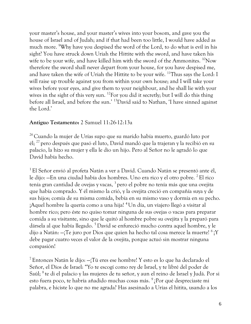your master's house, and your master's wives into your bosom, and gave you the house of Israel and of Judah; and if that had been too little, I would have added as much more. <sup>9</sup>Why have you despised the word of the Lord, to do what is evil in his sight? You have struck down Uriah the Hittite with the sword, and have taken his wife to be your wife, and have killed him with the sword of the Ammonites.  $^{10}$ Now therefore the sword shall never depart from your house, for you have despised me, and have taken the wife of Uriah the Hittite to be your wife. <sup>11</sup>Thus says the Lord: I will raise up trouble against you from within your own house; and I will take your wives before your eyes, and give them to your neighbour, and he shall lie with your wives in the sight of this very sun. <sup>12</sup>For you did it secretly; but I will do this thing before all Israel, and before the sun.' <sup>13</sup>David said to Nathan, 'I have sinned against the Lord.'

### **Antiguo Testamento:** 2 Samuel 11:26-12:13a

<sup>26</sup> Cuando la mujer de Urías supo que su marido había muerto, guardó luto por él; <sup>27</sup> pero después que pasó el luto, David mandó que la trajeran y la recibió en su palacio, la hizo su mujer y ella le dio un hijo. Pero al Señor no le agradó lo que David había hecho.

<sup>1</sup> El Señor envió al profeta Natán a ver a David. Cuando Natán se presentó ante él, le dijo: —En una ciudad había dos hombres. Uno era rico y el otro pobre. <sup>2</sup> El rico tenía gran cantidad de ovejas y vacas, <sup>3</sup> pero el pobre no tenía más que una ovejita que había comprado. Y él mismo la crió, y la ovejita creció en compañía suya y de sus hijos; comía de su misma comida, bebía en su mismo vaso y dormía en su pecho. ¡Aquel hombre la quería como a una hija! <sup>4</sup>Un día, un viajero llegó a visitar al hombre rico; pero éste no quiso tomar ninguna de sus ovejas o vacas para preparar comida a su visitante, sino que le quitó al hombre pobre su ovejita y la preparó para dársela al que había llegado. <sup>5</sup> David se enfureció mucho contra aquel hombre, y le dijo a Natán: —¡Te juro por Dios que quien ha hecho tal cosa merece la muerte! <sup>6</sup> ¡Y debe pagar cuatro veces el valor de la ovejita, porque actuó sin mostrar ninguna compasión!

<sup>7</sup> Entonces Natán le dijo: —¡Tú eres ese hombre! Y esto es lo que ha declarado el Señor, el Dios de Israel: "Yo te escogí como rey de Israel, y te libré del poder de Saúl; <sup>8</sup> te di el palacio y las mujeres de tu señor, y aun el reino de Israel y Judá. Por si esto fuera poco, te habría añadido muchas cosas más.  $^{9}$  ¿Por qué despreciaste mi palabra, e hiciste lo que no me agrada? Has asesinado a Urías el hitita, usando a los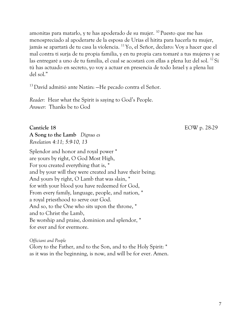amonitas para matarlo, y te has apoderado de su mujer. <sup>10</sup> Puesto que me has menospreciado al apoderarte de la esposa de Urías el hitita para hacerla tu mujer, jamás se apartará de tu casa la violencia. <sup>11</sup> Yo, el Señor, declaro: Voy a hacer que el mal contra ti surja de tu propia familia, y en tu propia cara tomaré a tus mujeres y se las entregaré a uno de tu familia, el cual se acostará con ellas a plena luz del sol. <sup>12</sup> Si tú has actuado en secreto, yo voy a actuar en presencia de todo Israel y a plena luz del sol."

<sup>13</sup> David admitió ante Natán: —He pecado contra el Señor.

*Reader:* Hear what the Spirit is saying to God's People. *Answer:* Thanks be to God

**Canticle 18** EOW p. 28-29

**A Song to the Lamb** *Dignus es Revelation 4:11; 5:9-10, 13*

Splendor and honor and royal power \* are yours by right, O God Most High, For you created everything that is, \* and by your will they were created and have their being; And yours by right, O Lamb that was slain, \* for with your blood you have redeemed for God, From every family, language, people, and nation, \* a royal priesthood to serve our God. And so, to the One who sits upon the throne, \* and to Christ the Lamb, Be worship and praise, dominion and splendor, \* for ever and for evermore.

*Officiant and People* Glory to the Father, and to the Son, and to the Holy Spirit: \* as it was in the beginning, is now, and will be for ever. Amen.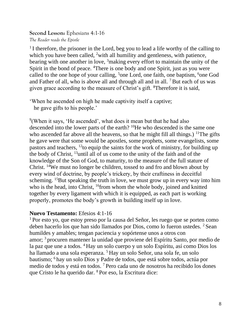**Second Lesson:** Ephesians 4:1-16 *The Reader reads the Epistle*

<sup>1</sup> I therefore, the prisoner in the Lord, beg you to lead a life worthy of the calling to which you have been called, <sup>2</sup>with all humility and gentleness, with patience, bearing with one another in love, <sup>3</sup>making every effort to maintain the unity of the Spirit in the bond of peace. <sup>4</sup>There is one body and one Spirit, just as you were called to the one hope of your calling, <sup>5</sup>one Lord, one faith, one baptism, <sup>6</sup>one God and Father of all, who is above all and through all and in all. <sup>7</sup> But each of us was given grace according to the measure of Christ's gift. <sup>8</sup>Therefore it is said,

'When he ascended on high he made captivity itself a captive; he gave gifts to his people.'

<sup>9</sup>(When it says, 'He ascended', what does it mean but that he had also descended into the lower parts of the earth? <sup>10</sup>He who descended is the same one who ascended far above all the heavens, so that he might fill all things.)  $11$ The gifts he gave were that some would be apostles, some prophets, some evangelists, some pastors and teachers, <sup>12</sup>to equip the saints for the work of ministry, for building up the body of Christ, <sup>13</sup>until all of us come to the unity of the faith and of the knowledge of the Son of God, to maturity, to the measure of the full stature of Christ. <sup>14</sup>We must no longer be children, tossed to and fro and blown about by every wind of doctrine, by people's trickery, by their craftiness in deceitful scheming. <sup>15</sup>But speaking the truth in love, we must grow up in every way into him who is the head, into Christ, <sup>16</sup>from whom the whole body, joined and knitted together by every ligament with which it is equipped, as each part is working properly, promotes the body's growth in building itself up in love.

### **Nuevo Testamento:** Efesios 4:1-16

<sup>1</sup> Por esto yo, que estoy preso por la causa del Señor, les ruego que se porten como deben hacerlo los que han sido llamados por Dios, como lo fueron ustedes. <sup>2</sup> Sean humildes y amables; tengan paciencia y sopórtense unos a otros con amor; <sup>3</sup> procuren mantener la unidad que proviene del Espíritu Santo, por medio de la paz que une a todos. <sup>4</sup> Hay un solo cuerpo y un solo Espíritu, así como Dios los ha llamado a una sola esperanza. <sup>5</sup> Hay un solo Señor, una sola fe, un solo bautismo; <sup>6</sup> hay un solo Dios y Padre de todos, que está sobre todos, actúa por medio de todos y está en todos. <sup>7</sup> Pero cada uno de nosotros ha recibido los dones que Cristo le ha querido dar. <sup>8</sup> Por eso, la Escritura dice: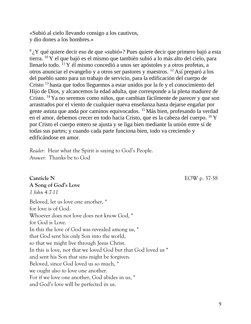«Subió al cielo llevando consigo a los cautivos, y dio dones a los hombres.»

 $9<sub>i</sub>$  Y qué quiere decir eso de que «subió»? Pues quiere decir que primero bajó a esta tierra. <sup>10</sup> Y el que bajó es el mismo que también subió a lo más alto del cielo, para llenarlo todo.  $^{11}$  Y él mismo concedió a unos ser apóstoles y a otros profetas, a otros anunciar el evangelio y a otros ser pastores y maestros. <sup>12</sup> Así preparó a los del pueblo santo para un trabajo de servicio, para la edificación del cuerpo de Cristo <sup>13</sup> hasta que todos lleguemos a estar unidos por la fe y el conocimiento del Hijo de Dios, y alcancemos la edad adulta, que corresponde a la plena madurez de Cristo. <sup>14</sup> Ya no seremos como niños, que cambian fácilmente de parecer y que son arrastrados por el viento de cualquier nueva enseñanza hasta dejarse engañar por gente astuta que anda por caminos equivocados. <sup>15</sup> Más bien, profesando la verdad en el amor, debemos crecer en todo hacia Cristo, que es la cabeza del cuerpo. <sup>16</sup> Y por Cristo el cuerpo entero se ajusta y se liga bien mediante la unión entre sí de todas sus partes; y cuando cada parte funciona bien, todo va creciendo y edificándose en amor.

*Reader:* Hear what the Spirit is saying to God's People. *Answer:* Thanks be to God

**A Song of God's Love**

*1 John 4:7-11*

**Canticle N** EOW p. 37-38

Beloved, let us love one another, \* for love is of God. Whoever does not love does not know God, \* for God is Love. In this the love of God was revealed among us, \* that God sent his only Son into the world, so that we might live through Jesus Christ. In this is love, not that we loved God but that God loved us \* and sent his Son that sins might be forgiven. Beloved, since God loved us so much, \* we ought also to love one another. For if we love one another, God abides in us, \* and God's love will be perfected in us.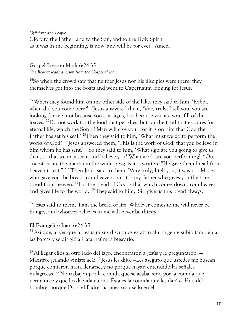*Officiant and People* Glory to the Father, and to the Son, and to the Holy Spirit: as it was in the beginning, is now, and will be for ever. Amen.

### **Gospel Lesson:** Mark 6:24-35

*The Reader reads a lesson from the Gospel of John*

<sup>24</sup>So when the crowd saw that neither Jesus nor his disciples were there, they themselves got into the boats and went to Capernaum looking for Jesus.

<sup>25</sup> When they found him on the other side of the lake, they said to him, 'Rabbi, when did you come here?' <sup>26</sup>Jesus answered them, 'Very truly, I tell you, you are looking for me, not because you saw signs, but because you ate your fill of the loaves. <sup>27</sup>Do not work for the food that perishes, but for the food that endures for eternal life, which the Son of Man will give you. For it is on him that God the Father has set his seal.' <sup>28</sup>Then they said to him, 'What must we do to perform the works of God?' <sup>29</sup>Jesus answered them, 'This is the work of God, that you believe in him whom he has sent.' <sup>30</sup>So they said to him, 'What sign are you going to give us then, so that we may see it and believe you? What work are you performing? <sup>31</sup>Our ancestors ate the manna in the wilderness; as it is written, "He gave them bread from heaven to eat." ' <sup>32</sup>Then Jesus said to them, 'Very truly, I tell you, it was not Moses who gave you the bread from heaven, but it is my Father who gives you the true bread from heaven. <sup>33</sup>For the bread of God is that which comes down from heaven and gives life to the world.' <sup>34</sup>They said to him, 'Sir, give us this bread always.'

<sup>35</sup> Jesus said to them, 'I am the bread of life. Whoever comes to me will never be hungry, and whoever believes in me will never be thirsty.

### **El Evangelio:** Juan 6:24-35

 $^{24}$ Así que, al ver que ni Jesús ni sus discípulos estaban allí, la gente subió también a las barcas y se dirigió a Cafarnaúm, a buscarlo.

 $^{25}$  Al llegar ellos al otro lado del lago, encontraron a Jesús y le preguntaron:  $-$ Maestro, ¿cuándo viniste acá? <sup>26</sup> Jesús les dijo: —Les aseguro que ustedes me buscan porque comieron hasta llenarse, y no porque hayan entendido las señales milagrosas. <sup>27</sup> No trabajen por la comida que se acaba, sino por la comida que permanece y que les da vida eterna. Ésta es la comida que les dará el Hijo del hombre, porque Dios, el Padre, ha puesto su sello en él.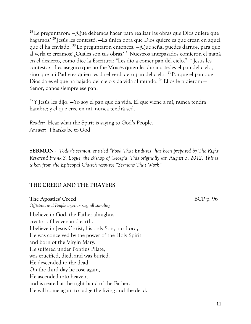<sup>28</sup> Le preguntaron:  $-j$ Qué debemos hacer para realizar las obras que Dios quiere que hagamos? <sup>29</sup> Jesús les contestó: —La única obra que Dios quiere es que crean en aquel que él ha enviado. <sup>30</sup> Le preguntaron entonces: —¿Qué señal puedes darnos, para que al verla te creamos? ¿Cuáles son tus obras? <sup>31</sup> Nuestros antepasados comieron el maná en el desierto, como dice la Escritura: "Les dio a comer pan del cielo." <sup>32</sup> Jesús les contestó: —Les aseguro que no fue Moisés quien les dio a ustedes el pan del cielo, sino que mi Padre es quien les da el verdadero pan del cielo. <sup>33</sup> Porque el pan que Dios da es el que ha bajado del cielo y da vida al mundo. <sup>34</sup> Ellos le pidieron: — Señor, danos siempre ese pan.

 $35$  Y Jesús les dijo:  $-$ Yo soy el pan que da vida. El que viene a mí, nunca tendrá hambre; y el que cree en mí, nunca tendrá sed.

*Reader:* Hear what the Spirit is saying to God's People. *Answer:* Thanks be to God

**SERMON -** *Today's sermon, entitled "Food That Endures" has been prepared by The Right Reverend Frank S. Logue, the Bishop of Georgia. This originally ran August 5, 2012. This is taken from the Episcopal Church resource "Sermons That Work"*

### **THE CREED AND THE PRAYERS**

### **The Apostles' Creed** BCP p. 96

*Officiant and People together say, all standing*  I believe in God, the Father almighty, creator of heaven and earth. I believe in Jesus Christ, his only Son, our Lord, He was conceived by the power of the Holy Spirit and born of the Virgin Mary. He suffered under Pontius Pilate, was crucified, died, and was buried. He descended to the dead. On the third day he rose again, He ascended into heaven, and is seated at the right hand of the Father. He will come again to judge the living and the dead.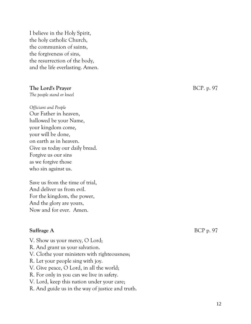I believe in the Holy Spirit, the holy catholic Church, the communion of saints, the forgiveness of sins, the resurrection of the body, and the life everlasting. Amen.

### **The Lord's Prayer** BCP. p. 97

*The people stand or kneel*

*Officiant and People*  Our Father in heaven, hallowed be your Name, your kingdom come, your will be done, on earth as in heaven. Give us today our daily bread. Forgive us our sins as we forgive those who sin against us.

Save us from the time of trial, And deliver us from evil. For the kingdom, the power, And the glory are yours, Now and for ever. Amen.

### **Suffrage A** BCP p. 97

- V. Show us your mercy, O Lord;
- R. And grant us your salvation.
- V. Clothe your ministers with righteousness;
- R. Let your people sing with joy.
- V. Give peace, O Lord, in all the world;
- R. For only in you can we live in safety.
- V. Lord, keep this nation under your care;
- R. And guide us in the way of justice and truth.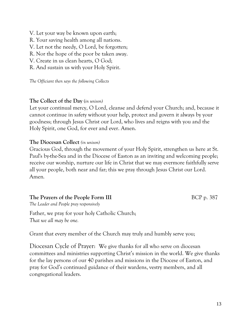- V. Let your way be known upon earth;
- R. Your saving health among all nations.
- V. Let not the needy, O Lord, be forgotten;
- R. Nor the hope of the poor be taken away.
- V. Create in us clean hearts, O God;
- R. And sustain us with your Holy Spirit.

*The Officiant then says the following Collects*

### **The Collect of the Day** (*in unison)*

Let your continual mercy, O Lord, cleanse and defend your Church; and, because it cannot continue in safety without your help, protect and govern it always by your goodness; through Jesus Christ our Lord, who lives and reigns with you and the Holy Spirit, one God, for ever and ever. Amen.

### **The Diocesan Collect** *(in unison)*

Gracious God, through the movement of your Holy Spirit, strengthen us here at St. Paul's by-the-Sea and in the Diocese of Easton as an inviting and welcoming people; receive our worship, nurture our life in Christ that we may evermore faithfully serve all your people, both near and far; this we pray through Jesus Christ our Lord. Amen*.*

### **The Prayers of the People Form III** BCP p. 387

*The Leader and People pray responsively*

Father, we pray for your holy Catholic Church; *That we all may be one.*

Grant that every member of the Church may truly and humbly serve you;

Diocesan Cycle of Prayer: We give thanks for all who serve on diocesan committees and ministries supporting Christ's mission in the world. We give thanks for the lay persons of our 40 parishes and missions in the Diocese of Easton, and pray for God's continued guidance of their wardens, vestry members, and all congregational leaders.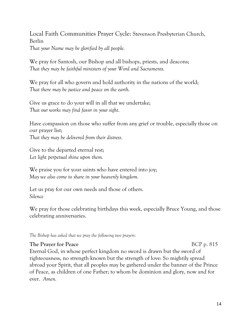Local Faith Communities Prayer Cycle: Stevenson Presbyterian Church, Berlin *That your Name may be glorified by all people.*

We pray for Santosh, our Bishop and all bishops, priests, and deacons; *That they may be faithful ministers of your Word and Sacraments.*

We pray for all who govern and hold authority in the nations of the world; *That there may be justice and peace on the earth.*

Give us grace to do your will in all that we undertake; *That our works may find favor in your sight.*

Have compassion on those who suffer from any grief or trouble, especially those on our prayer list;

*That they may be delivered from their distress.*

Give to the departed eternal rest; *Let light perpetual shine upon them.*

We praise you for your saints who have entered into joy; *May we also come to share in your heavenly kingdom.*

Let us pray for our own needs and those of others. *Silence*

We pray for those celebrating birthdays this week, especially Bruce Young, and those celebrating anniversaries.

*The Bishop has asked that we pray the following two prayers:*

### **The Prayer for Peace** BCP p. 815

Eternal God, in whose perfect kingdom no sword is drawn but the sword of righteousness, no strength known but the strength of love: So mightily spread abroad your Spirit, that all peoples may be gathered under the banner of the Prince of Peace, as children of one Father; to whom be dominion and glory, now and for ever. *Amen.*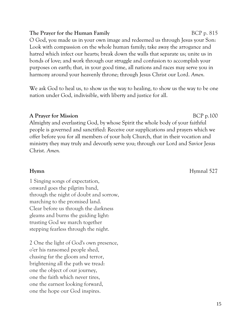### **The Prayer for the Human Family** BCP p. 815

O God, you made us in your own image and redeemed us through Jesus your Son: Look with compassion on the whole human family; take away the arrogance and hatred which infect our hearts; break down the walls that separate us; unite us in bonds of love; and work through our struggle and confusion to accomplish your purposes on earth; that, in your good time, all nations and races may serve you in harmony around your heavenly throne; through Jesus Christ our Lord. *Amen.*

We ask God to heal us, to show us the way to healing, to show us the way to be one nation under God, indivisible, with liberty and justice for all.

### **A** Prayer for Mission BCP p.100

Almighty and everlasting God, by whose Spirit the whole body of your faithful people is governed and sanctified: Receive our supplications and prayers which we offer before you for all members of your holy Church, that in their vocation and ministry they may truly and devoutly serve you; through our Lord and Savior Jesus Christ. *Amen.*

1 Singing songs of expectation, onward goes the pilgrim band, through the night of doubt and sorrow, marching to the promised land. Clear before us through the darkness gleams and burns the guiding light: trusting God we march together stepping fearless through the night.

2 One the light of God's own presence, o'er his ransomed people shed, chasing far the gloom and terror, brightening all the path we tread: one the object of our journey, one the faith which never tires, one the earnest looking forward, one the hope our God inspires.

**Hymnal** 527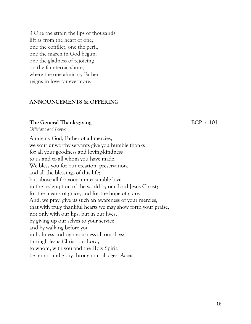3 One the strain the lips of thousands lift as from the heart of one; one the conflict, one the peril, one the march in God begun: one the gladness of rejoicing on the far eternal shore, where the one almighty Father reigns in love for evermore.

### **ANNOUNCEMENTS & OFFERING**

### **The General Thanksgiving The General Thanksgiving SECP** p. 101

*Officiant and People*

Almighty God, Father of all mercies, we your unworthy servants give you humble thanks for all your goodness and loving-kindness to us and to all whom you have made. We bless you for our creation, preservation, and all the blessings of this life; but above all for your immeasurable love in the redemption of the world by our Lord Jesus Christ; for the means of grace, and for the hope of glory. And, we pray, give us such an awareness of your mercies, that with truly thankful hearts we may show forth your praise, not only with our lips, but in our lives, by giving up our selves to your service, and by walking before you in holiness and righteousness all our days; through Jesus Christ our Lord, to whom, with you and the Holy Spirit, be honor and glory throughout all ages. *Amen.*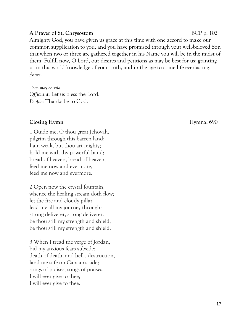### **A Prayer of St. Chrysostom** BCP p. 102

Almighty God, you have given us grace at this time with one accord to make our common supplication to you; and you have promised through your well-beloved Son that when two or three are gathered together in his Name you will be in the midst of them: Fulfill now, O Lord, our desires and petitions as may be best for us; granting us in this world knowledge of your truth, and in the age to come life everlasting. *Amen.*

*Then may be said Officiant:* Let us bless the Lord. *People:* Thanks be to God.

### **Closing Hymn** Hymnal 690

1 Guide me, O thou great Jehovah, pilgrim through this barren land; I am weak, but thou art mighty; hold me with thy powerful hand; bread of heaven, bread of heaven, feed me now and evermore, feed me now and evermore.

2 Open now the crystal fountain, whence the healing stream doth flow; let the fire and cloudy pillar lead me all my journey through; strong deliverer, strong deliverer. be thou still my strength and shield, be thou still my strength and shield.

3 When I tread the verge of Jordan, bid my anxious fears subside; death of death, and hell's destruction, land me safe on Canaan's side; songs of praises, songs of praises, I will ever give to thee, I will ever give to thee.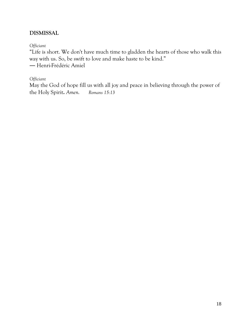### **DISMISSAL**

*Officiant*

"Life is short. We don't have much time to gladden the hearts of those who walk this way with us. So, be swift to love and make haste to be kind." ― Henri-Frédéric Amiel

### *Officiant*

May the God of hope fill us with all joy and peace in believing through the power of the Holy Spirit**.** *Amen.**Romans 15:13*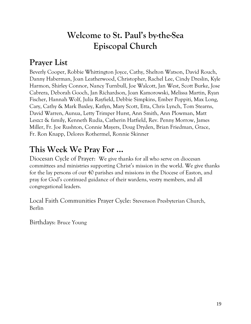# **Welcome to St. Paul's by-the-Sea Episcopal Church**

# **Prayer List**

Beverly Cooper, Robbie Whittington Joyce, Cathy, Shelton Watson, David Rouch, Danny Haberman, Joan Leatherwood, Christopher, Rachel Lee, Cindy Dreslin, Kyle Harmon, Shirley Connor, Nancy Turnbull, Joe Walcott, Jan West, Scott Burke, Jose Cabrera, Deborah Gooch, Jan Richardson, Joan Kamorowski, Melissa Martin, Ryan Fischer, Hannah Wolf, Julia Rayfield, Debbie Simpkins, Ember Poppiti, Max Long, Cary, Cathy & Mark Baxley, Katlyn, Mary Scott, Etta, Chris Lynch, Tom Stearns, David Warren, Aunua, Letty Trimper Hurst, Ann Smith, Ann Plowman, Matt Leszcz & family, Kenneth Rudia, Catherin Hatfield, Rev. Penny Morrow, James Miller, Fr. Joe Rushton, Connie Mayers, Doug Dryden, Brian Friedman, Grace, Fr. Ron Knapp, Delores Rothermel, Ronnie Skinner

# **This Week We Pray For ...**

Diocesan Cycle of Prayer: We give thanks for all who serve on diocesan committees and ministries supporting Christ's mission in the world. We give thanks for the lay persons of our 40 parishes and missions in the Diocese of Easton, and pray for God's continued guidance of their wardens, vestry members, and all congregational leaders.

Local Faith Communities Prayer Cycle: Stevenson Presbyterian Church, Berlin

Birthdays: Bruce Young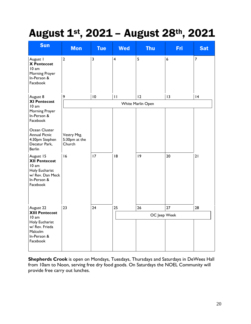# August 1st, 2021 – August 28th, 2021

| <b>Sun</b>                                                                                                                                                                                                                                            | <b>Mon</b>                                   | <b>Tue</b>      | <b>Wed</b>              | <b>Thu</b>   | <b>Fri</b>       | <b>Sat</b>     |
|-------------------------------------------------------------------------------------------------------------------------------------------------------------------------------------------------------------------------------------------------------|----------------------------------------------|-----------------|-------------------------|--------------|------------------|----------------|
| August I<br><b>X</b> Pentecost<br>10 am<br>Morning Prayer<br>In-Person &<br>Facebook                                                                                                                                                                  | $\overline{2}$                               | 3               | $\overline{\mathbf{4}}$ | 5            | $\boldsymbol{6}$ | $\overline{7}$ |
| August 8<br><b>XI Pentecost</b><br>10 am                                                                                                                                                                                                              | 9                                            | $\overline{10}$ | $\mathbf{H}$            | 12           | 13               | 4              |
|                                                                                                                                                                                                                                                       | White Marlin Open                            |                 |                         |              |                  |                |
| Morning Prayer<br>In-Person &<br>Facebook<br>Ocean Cluster<br><b>Annual Picnic</b><br>4:30pm Stephen<br>Decatur Park,<br><b>Berlin</b><br>August 15<br><b>XII Pentecost</b><br>10 am<br>Holy Eucharist<br>w/ Rev. Dan Meck<br>In-Person &<br>Facebook | Vestry Mtg.<br>5:30pm at the<br>Church<br>16 | 17              | 8                       | 9            | 20               | 21             |
| August 22<br><b>XIII Pentecost</b>                                                                                                                                                                                                                    | 23                                           | 24              | 25                      | 26           | 27               | 28             |
| 10 am<br>Holy Eucharist<br>w/ Rev. Frieda<br>Malcolm<br>In-Person &<br>Facebook                                                                                                                                                                       |                                              |                 |                         | OC Jeep Week |                  |                |

**Shepherds Crook** is open on Mondays, Tuesdays, Thursdays and Saturdays in DeWees Hall from 10am to Noon, serving free dry food goods. On Saturdays the NOEL Community will provide free carry out lunches.